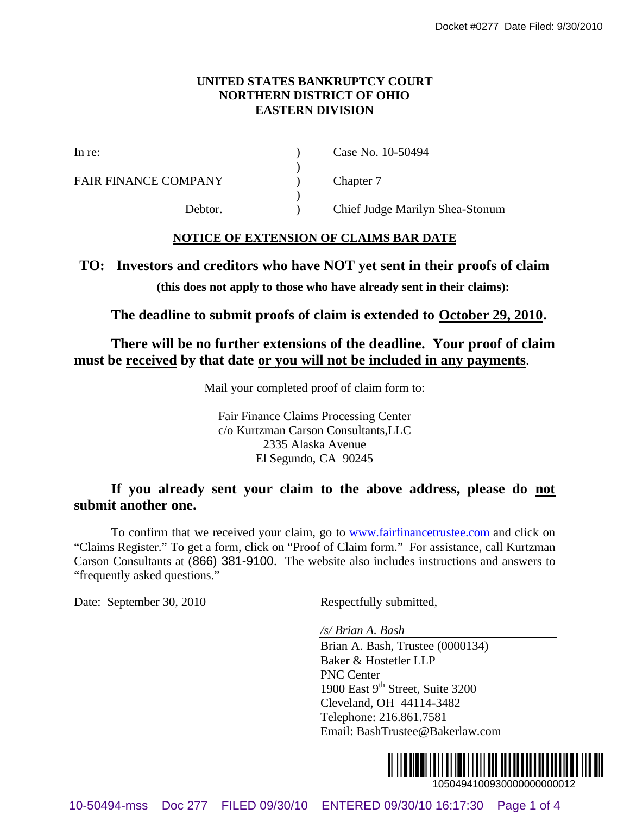#### **UNITED STATES BANKRUPTCY COURT NORTHERN DISTRICT OF OHIO EASTERN DIVISION**

FAIR FINANCE COMPANY (a) Chapter 7

In re: (a) Case No. 10-50494

Debtor. ) Chief Judge Marilyn Shea-Stonum

### **NOTICE OF EXTENSION OF CLAIMS BAR DATE**

 $\lambda$ 

 $\lambda$ 

## **TO: Investors and creditors who have NOT yet sent in their proofs of claim**

**(this does not apply to those who have already sent in their claims):**

**The deadline to submit proofs of claim is extended to October 29, 2010.**

**There will be no further extensions of the deadline. Your proof of claim must be received by that date or you will not be included in any payments**.

Mail your completed proof of claim form to:

Fair Finance Claims Processing Center c/o Kurtzman Carson Consultants,LLC 2335 Alaska Avenue El Segundo, CA 90245

# **If you already sent your claim to the above address, please do not submit another one.**

To confirm that we received your claim, go to www.fairfinancetrustee.com and click on "Claims Register." To get a form, click on "Proof of Claim form." For assistance, call Kurtzman Carson Consultants at (866) 381-9100. The website also includes instructions and answers to "frequently asked questions." 100486-8077 Data Filed: 8/077 Data Filed: 8/08/219<br>
10-68 EXECUTENT DISTRICTORY DOID<br>
11-16:<br>
14-16:<br>
14-16:<br>
14-16:<br>
14-16:<br>
14-16:<br>
14-16:<br>
14-16:<br>
14-16:<br>
14-16:<br>
14-16:<br>
14-16:<br>
14-16:<br>
14-16:<br>
14-16:<br>
14-16:<br>
14-16:<br>

Date: September 30, 2010 Respectfully submitted,

*/s/ Brian A. Bash*

Brian A. Bash, Trustee (0000134) Baker & Hostetler LLP PNC Center 1900 East  $9<sup>th</sup>$  Street, Suite 3200 Cleveland, OH 44114-3482 Telephone: 216.861.7581 Email: BashTrustee@Bakerlaw.com

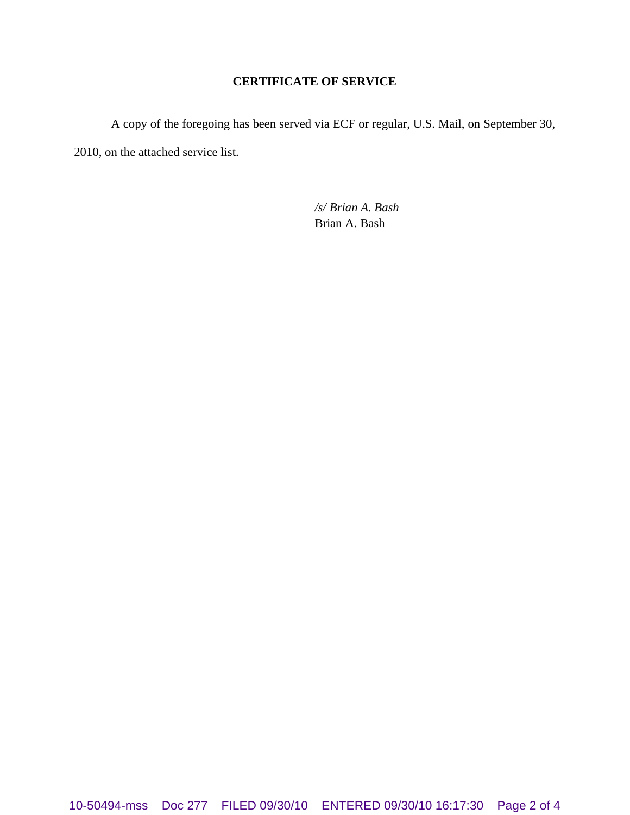## **CERTIFICATE OF SERVICE**

A copy of the foregoing has been served via ECF or regular, U.S. Mail, on September 30, 2010, on the attached service list.

*/s/ Brian A. Bash*

Brian A. Bash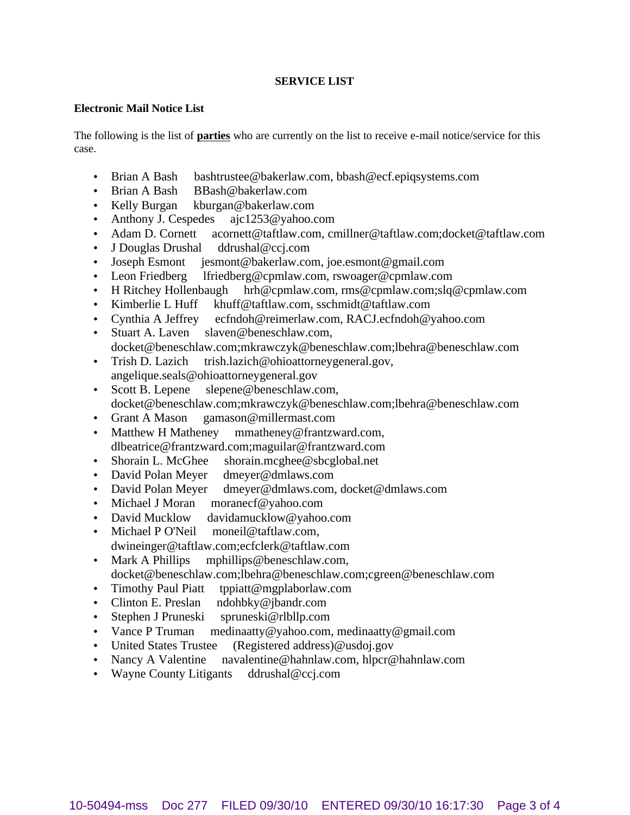#### **SERVICE LIST**

#### **Electronic Mail Notice List**

The following is the list of **parties** who are currently on the list to receive e-mail notice/service for this case.

- Brian A Bash bashtrustee@bakerlaw.com, bbash@ecf.epiqsystems.com
- Brian A Bash BBash@bakerlaw.com
- Kelly Burgan kburgan@bakerlaw.com
- Anthony J. Cespedes ajc1253@yahoo.com
- Adam D. Cornett acornett@taftlaw.com, cmillner@taftlaw.com;docket@taftlaw.com
- J Douglas Drushal ddrushal@ccj.com
- Joseph Esmont jesmont@bakerlaw.com, joe.esmont@gmail.com
- Leon Friedberg lfriedberg@cpmlaw.com, rswoager@cpmlaw.com
- H Ritchey Hollenbaugh hrh@cpmlaw.com, rms@cpmlaw.com;slq@cpmlaw.com
- Kimberlie L Huff khuff@taftlaw.com, sschmidt@taftlaw.com
- Cynthia A Jeffrey ecfndoh@reimerlaw.com, RACJ.ecfndoh@yahoo.com
- Stuart A. Laven slaven@beneschlaw.com, docket@beneschlaw.com;mkrawczyk@beneschlaw.com;lbehra@beneschlaw.com
- Trish D. Lazich trish.lazich@ohioattorneygeneral.gov, angelique.seals@ohioattorneygeneral.gov
- Scott B. Lepene slepene@beneschlaw.com, docket@beneschlaw.com;mkrawczyk@beneschlaw.com;lbehra@beneschlaw.com
- Grant A Mason gamason@millermast.com
- Matthew H Matheney mmatheney@frantzward.com, dlbeatrice@frantzward.com;maguilar@frantzward.com
- Shorain L. McGhee shorain.mcghee@sbcglobal.net
- David Polan Meyer dmeyer@dmlaws.com
- David Polan Meyer dmeyer@dmlaws.com, docket@dmlaws.com
- Michael J Moran moranecf@yahoo.com
- David Mucklow davidamucklow@yahoo.com
- Michael P O'Neil moneil@taftlaw.com, dwineinger@taftlaw.com;ecfclerk@taftlaw.com
- Mark A Phillips mphillips@beneschlaw.com, docket@beneschlaw.com;lbehra@beneschlaw.com;cgreen@beneschlaw.com
- Timothy Paul Piatt tppiatt@mgplaborlaw.com
- Clinton E. Preslan ndohbky@jbandr.com
- Stephen J Pruneski spruneski@rlbllp.com
- Vance P Truman medinaatty@yahoo.com, medinaatty@gmail.com
- United States Trustee (Registered address)@usdoj.gov
- Nancy A Valentine navalentine@hahnlaw.com, hlpcr@hahnlaw.com
- Wayne County Litigants ddrushal@ccj.com